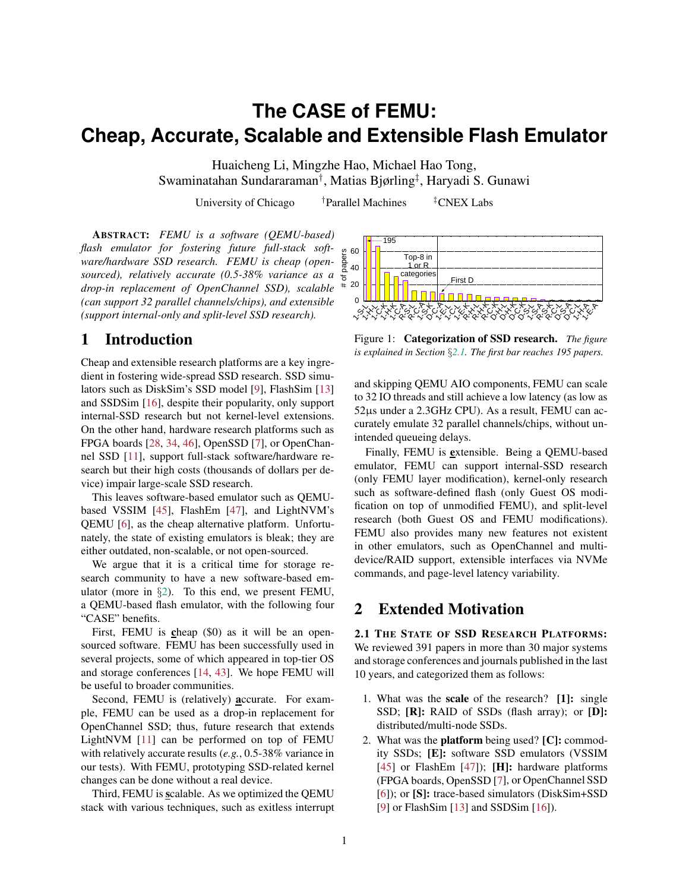# **The CASE of FEMU: Cheap, Accurate, Scalable and Extensible Flash Emulator**

Huaicheng Li, Mingzhe Hao, Michael Hao Tong, Swaminatahan Sundararaman† , Matias Bjørling‡ , Haryadi S. Gunawi

University of Chicago <sup>†</sup>Parallel Machines <sup>‡</sup>CNEX Labs

ABSTRACT: *FEMU is a software (QEMU-based) flash emulator for fostering future full-stack software/hardware SSD research. FEMU is cheap (opensourced), relatively accurate (0.5-38% variance as a drop-in replacement of OpenChannel SSD), scalable (can support 32 parallel channels/chips), and extensible (support internal-only and split-level SSD research).*

## 1 Introduction

Cheap and extensible research platforms are a key ingredient in fostering wide-spread SSD research. SSD simulators such as DiskSim's SSD model [\[9\]](#page-6-0), FlashSim [\[13\]](#page-6-1) and SSDSim [\[16\]](#page-6-2), despite their popularity, only support internal-SSD research but not kernel-level extensions. On the other hand, hardware research platforms such as FPGA boards [\[28,](#page-7-0) [34,](#page-7-1) [46\]](#page-7-2), OpenSSD [\[7\]](#page-6-3), or OpenChannel SSD [\[11\]](#page-6-4), support full-stack software/hardware research but their high costs (thousands of dollars per device) impair large-scale SSD research.

This leaves software-based emulator such as QEMUbased VSSIM [\[45\]](#page-7-3), FlashEm [\[47\]](#page-7-4), and LightNVM's QEMU [\[6\]](#page-6-5), as the cheap alternative platform. Unfortunately, the state of existing emulators is bleak; they are either outdated, non-scalable, or not open-sourced.

We argue that it is a critical time for storage research community to have a new software-based emulator (more in  $\S$ [2\)](#page-0-0). To this end, we present FEMU, a QEMU-based flash emulator, with the following four "CASE" benefits.

First, FEMU is cheap (\$0) as it will be an opensourced software. FEMU has been successfully used in several projects, some of which appeared in top-tier OS and storage conferences [\[14,](#page-6-6) [43\]](#page-7-5). We hope FEMU will be useful to broader communities.

Second, FEMU is (relatively) accurate. For example, FEMU can be used as a drop-in replacement for OpenChannel SSD; thus, future research that extends LightNVM [\[11\]](#page-6-4) can be performed on top of FEMU with relatively accurate results (*e.g.*, 0.5-38% variance in our tests). With FEMU, prototyping SSD-related kernel changes can be done without a real device.

Third, FEMU is scalable. As we optimized the QEMU stack with various techniques, such as exitless interrupt



<span id="page-0-1"></span>Figure 1: Categorization of SSD research. *The figure is explained in Section* §*[2.](#page-0-0)1. The first bar reaches 195 papers.*

and skipping QEMU AIO components, FEMU can scale to 32 IO threads and still achieve a low latency (as low as 52µs under a 2.3GHz CPU). As a result, FEMU can accurately emulate 32 parallel channels/chips, without unintended queueing delays.

Finally, FEMU is extensible. Being a QEMU-based emulator, FEMU can support internal-SSD research (only FEMU layer modification), kernel-only research such as software-defined flash (only Guest OS modification on top of unmodified FEMU), and split-level research (both Guest OS and FEMU modifications). FEMU also provides many new features not existent in other emulators, such as OpenChannel and multidevice/RAID support, extensible interfaces via NVMe commands, and page-level latency variability.

### <span id="page-0-0"></span>2 Extended Motivation

2.1 THE STATE OF SSD RESEARCH PLATFORMS: We reviewed 391 papers in more than 30 major systems and storage conferences and journals published in the last 10 years, and categorized them as follows:

- 1. What was the scale of the research? [1]: single SSD; [R]: RAID of SSDs (flash array); or [D]: distributed/multi-node SSDs.
- 2. What was the **platform** being used? [C]: commodity SSDs; [E]: software SSD emulators (VSSIM [\[45\]](#page-7-3) or FlashEm [\[47\]](#page-7-4)); [H]: hardware platforms (FPGA boards, OpenSSD [\[7\]](#page-6-3), or OpenChannel SSD [\[6\]](#page-6-5)); or [S]: trace-based simulators (DiskSim+SSD [\[9\]](#page-6-0) or FlashSim [\[13\]](#page-6-1) and SSDSim [\[16\]](#page-6-2)).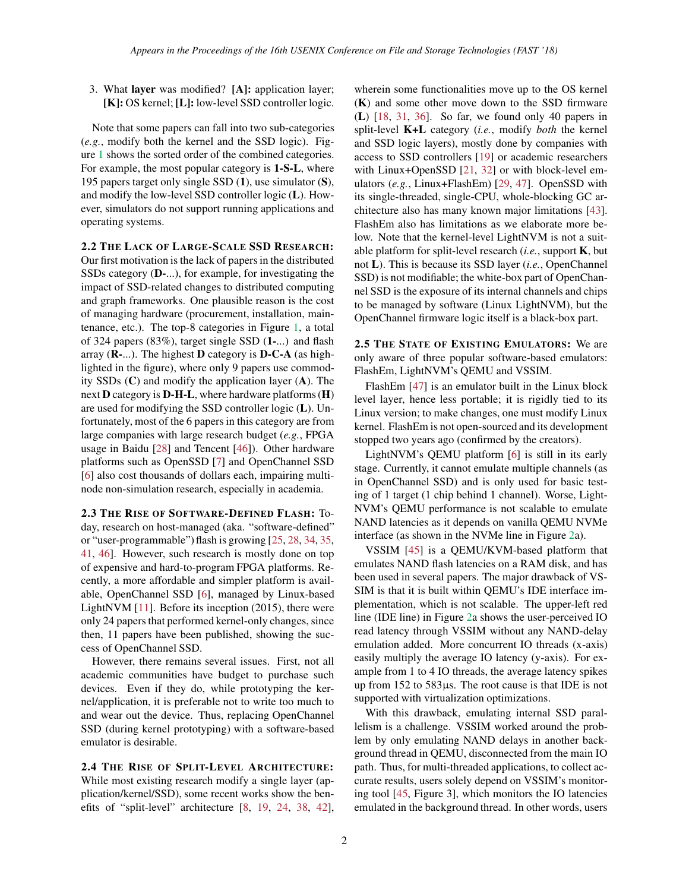3. What layer was modified? [A]: application layer; [K]: OS kernel; [L]: low-level SSD controller logic.

Note that some papers can fall into two sub-categories (*e.g.*, modify both the kernel and the SSD logic). Figure [1](#page-0-1) shows the sorted order of the combined categories. For example, the most popular category is 1-S-L, where 195 papers target only single SSD (1), use simulator (S), and modify the low-level SSD controller logic (L). However, simulators do not support running applications and operating systems.

2.2 THE LACK OF LARGE-SCALE SSD RESEARCH: Our first motivation is the lack of papers in the distributed SSDs category (D-...), for example, for investigating the impact of SSD-related changes to distributed computing and graph frameworks. One plausible reason is the cost of managing hardware (procurement, installation, maintenance, etc.). The top-8 categories in Figure [1,](#page-0-1) a total of 324 papers (83%), target single SSD (1-...) and flash array  $(R-...)$ . The highest **D** category is **D-C-A** (as highlighted in the figure), where only 9 papers use commodity SSDs  $(C)$  and modify the application layer  $(A)$ . The next D category is D-H-L, where hardware platforms (H) are used for modifying the SSD controller logic (L). Unfortunately, most of the 6 papers in this category are from large companies with large research budget (*e.g.*, FPGA usage in Baidu [\[28\]](#page-7-0) and Tencent [\[46\]](#page-7-2)). Other hardware platforms such as OpenSSD [\[7\]](#page-6-3) and OpenChannel SSD [\[6\]](#page-6-5) also cost thousands of dollars each, impairing multinode non-simulation research, especially in academia.

2.3 THE RISE OF SOFTWARE-DEFINED FLASH: Today, research on host-managed (aka. "software-defined" or "user-programmable") flash is growing [\[25,](#page-6-7) [28,](#page-7-0) [34,](#page-7-1) [35,](#page-7-6) [41,](#page-7-7) [46\]](#page-7-2). However, such research is mostly done on top of expensive and hard-to-program FPGA platforms. Recently, a more affordable and simpler platform is available, OpenChannel SSD [\[6\]](#page-6-5), managed by Linux-based LightNVM [\[11\]](#page-6-4). Before its inception (2015), there were only 24 papers that performed kernel-only changes, since then, 11 papers have been published, showing the success of OpenChannel SSD.

However, there remains several issues. First, not all academic communities have budget to purchase such devices. Even if they do, while prototyping the kernel/application, it is preferable not to write too much to and wear out the device. Thus, replacing OpenChannel SSD (during kernel prototyping) with a software-based emulator is desirable.

2.4 THE RISE OF SPLIT-LEVEL ARCHITECTURE: While most existing research modify a single layer (application/kernel/SSD), some recent works show the benefits of "split-level" architecture [\[8,](#page-6-8) [19,](#page-6-9) [24,](#page-6-10) [38,](#page-7-8) [42\]](#page-7-9), wherein some functionalities move up to the OS kernel (K) and some other move down to the SSD firmware (L) [\[18,](#page-6-11) [31,](#page-7-10) [36\]](#page-7-11). So far, we found only 40 papers in split-level K+L category (*i.e.*, modify *both* the kernel and SSD logic layers), mostly done by companies with access to SSD controllers [\[19\]](#page-6-9) or academic researchers with Linux+OpenSSD [\[21,](#page-6-12) [32\]](#page-7-12) or with block-level emulators (*e.g.*, Linux+FlashEm) [\[29,](#page-7-13) [47\]](#page-7-4). OpenSSD with its single-threaded, single-CPU, whole-blocking GC architecture also has many known major limitations [\[43\]](#page-7-5). FlashEm also has limitations as we elaborate more below. Note that the kernel-level LightNVM is not a suitable platform for split-level research (*i.e.*, support K, but not L). This is because its SSD layer (*i.e.*, OpenChannel SSD) is not modifiable; the white-box part of OpenChannel SSD is the exposure of its internal channels and chips to be managed by software (Linux LightNVM), but the OpenChannel firmware logic itself is a black-box part.

2.5 THE STATE OF EXISTING EMULATORS: We are only aware of three popular software-based emulators: FlashEm, LightNVM's QEMU and VSSIM.

FlashEm [\[47\]](#page-7-4) is an emulator built in the Linux block level layer, hence less portable; it is rigidly tied to its Linux version; to make changes, one must modify Linux kernel. FlashEm is not open-sourced and its development stopped two years ago (confirmed by the creators).

LightNVM's QEMU platform [\[6\]](#page-6-5) is still in its early stage. Currently, it cannot emulate multiple channels (as in OpenChannel SSD) and is only used for basic testing of 1 target (1 chip behind 1 channel). Worse, Light-NVM's QEMU performance is not scalable to emulate NAND latencies as it depends on vanilla QEMU NVMe interface (as shown in the NVMe line in Figure [2a](#page-2-0)).

VSSIM [\[45\]](#page-7-3) is a QEMU/KVM-based platform that emulates NAND flash latencies on a RAM disk, and has been used in several papers. The major drawback of VS-SIM is that it is built within QEMU's IDE interface implementation, which is not scalable. The upper-left red line (IDE line) in Figure [2a](#page-2-0) shows the user-perceived IO read latency through VSSIM without any NAND-delay emulation added. More concurrent IO threads (x-axis) easily multiply the average IO latency (y-axis). For example from 1 to 4 IO threads, the average latency spikes up from 152 to 583µs. The root cause is that IDE is not supported with virtualization optimizations.

With this drawback, emulating internal SSD parallelism is a challenge. VSSIM worked around the problem by only emulating NAND delays in another background thread in QEMU, disconnected from the main IO path. Thus, for multi-threaded applications, to collect accurate results, users solely depend on VSSIM's monitoring tool [\[45,](#page-7-3) Figure 3], which monitors the IO latencies emulated in the background thread. In other words, users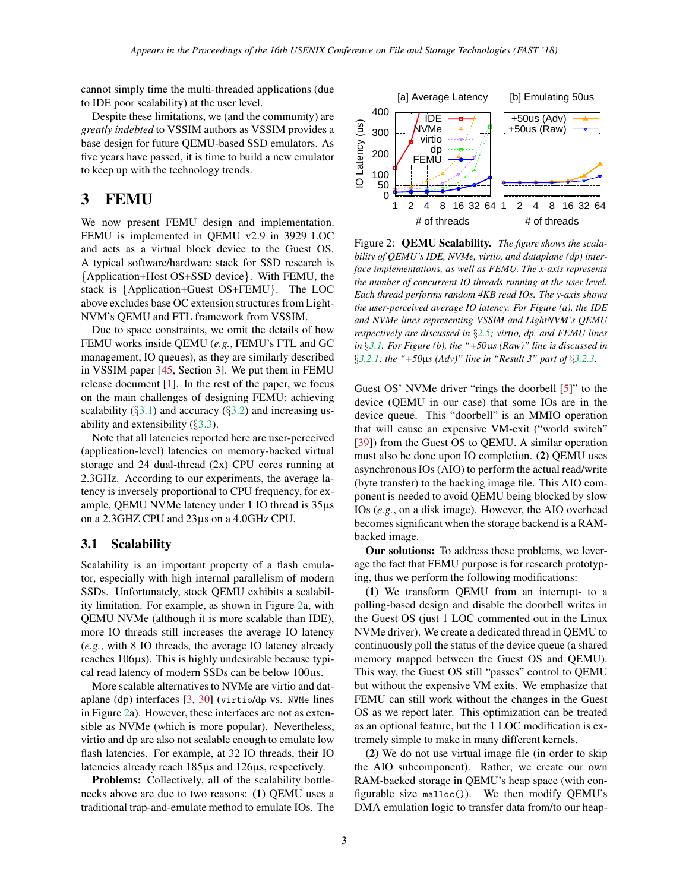cannot simply time the multi-threaded applications (due to IDE poor scalability) at the user level.

Despite these limitations, we (and the community) are *greatly indebted* to VSSIM authors as VSSIM provides a base design for future QEMU-based SSD emulators. As five years have passed, it is time to build a new emulator to keep up with the technology trends.

# 3 FEMU

We now present FEMU design and implementation. FEMU is implemented in QEMU v2.9 in 3929 LOC and acts as a virtual block device to the Guest OS. A typical software/hardware stack for SSD research is {Application+Host OS+SSD device}. With FEMU, the stack is {Application+Guest OS+FEMU}. The LOC above excludes base OC extension structures from Light-NVM's QEMU and FTL framework from VSSIM.

Due to space constraints, we omit the details of how FEMU works inside QEMU (*e.g.*, FEMU's FTL and GC management, IO queues), as they are similarly described in VSSIM paper [\[45,](#page-7-3) Section 3]. We put them in FEMU release document [\[1\]](#page-6-13). In the rest of the paper, we focus on the main challenges of designing FEMU: achieving scalability  $(\S3.1)$  $(\S3.1)$  and accuracy  $(\S3.2)$  $(\S3.2)$  and increasing usability and extensibility (§[3.3\)](#page-4-0).

Note that all latencies reported here are user-perceived (application-level) latencies on memory-backed virtual storage and 24 dual-thread (2x) CPU cores running at 2.3GHz. According to our experiments, the average latency is inversely proportional to CPU frequency, for example, QEMU NVMe latency under 1 IO thread is  $35\mu s$ on a 2.3GHZ CPU and 23µs on a 4.0GHz CPU.

### <span id="page-2-1"></span>3.1 Scalability

Scalability is an important property of a flash emulator, especially with high internal parallelism of modern SSDs. Unfortunately, stock QEMU exhibits a scalability limitation. For example, as shown in Figure [2a](#page-2-0), with QEMU NVMe (although it is more scalable than IDE), more IO threads still increases the average IO latency (*e.g.*, with 8 IO threads, the average IO latency already reaches 106µs). This is highly undesirable because typical read latency of modern SSDs can be below 100µs.

More scalable alternatives to NVMe are virtio and dataplane (dp) interfaces [\[3,](#page-6-14) [30\]](#page-7-14) (virtio/dp vs. NVMe lines in Figure [2a](#page-2-0)). However, these interfaces are not as extensible as NVMe (which is more popular). Nevertheless, virtio and dp are also not scalable enough to emulate low flash latencies. For example, at 32 IO threads, their IO latencies already reach 185µs and 126µs, respectively.

Problems: Collectively, all of the scalability bottlenecks above are due to two reasons: (1) QEMU uses a traditional trap-and-emulate method to emulate IOs. The



<span id="page-2-0"></span>Figure 2: QEMU Scalability. *The figure shows the scalability of QEMU's IDE, NVMe, virtio, and dataplane (dp) interface implementations, as well as FEMU. The x-axis represents the number of concurrent IO threads running at the user level. Each thread performs random 4KB read IOs. The y-axis shows the user-perceived average IO latency. For Figure (a), the IDE and NVMe lines representing VSSIM and LightNVM's QEMU respectively are discussed in* §*[2.](#page-0-0)5; virtio, dp, and FEMU lines in* §*[3.1.](#page-2-1) For Figure (b), the "+50*µ*s (Raw)" line is discussed in* §*[3.2.1;](#page-3-1) the "+50*µ*s (Adv)" line in "Result 3" part of* §*[3.2.3.](#page-3-2)*

Guest OS' NVMe driver "rings the doorbell [\[5\]](#page-6-15)" to the device (QEMU in our case) that some IOs are in the device queue. This "doorbell" is an MMIO operation that will cause an expensive VM-exit ("world switch" [\[39\]](#page-7-15)) from the Guest OS to QEMU. A similar operation must also be done upon IO completion. (2) QEMU uses asynchronous IOs (AIO) to perform the actual read/write (byte transfer) to the backing image file. This AIO component is needed to avoid QEMU being blocked by slow IOs (*e.g.*, on a disk image). However, the AIO overhead becomes significant when the storage backend is a RAMbacked image.

Our solutions: To address these problems, we leverage the fact that FEMU purpose is for research prototyping, thus we perform the following modifications:

(1) We transform QEMU from an interrupt- to a polling-based design and disable the doorbell writes in the Guest OS (just 1 LOC commented out in the Linux NVMe driver). We create a dedicated thread in QEMU to continuously poll the status of the device queue (a shared memory mapped between the Guest OS and QEMU). This way, the Guest OS still "passes" control to QEMU but without the expensive VM exits. We emphasize that FEMU can still work without the changes in the Guest OS as we report later. This optimization can be treated as an optional feature, but the 1 LOC modification is extremely simple to make in many different kernels.

(2) We do not use virtual image file (in order to skip the AIO subcomponent). Rather, we create our own RAM-backed storage in QEMU's heap space (with configurable size malloc()). We then modify QEMU's DMA emulation logic to transfer data from/to our heap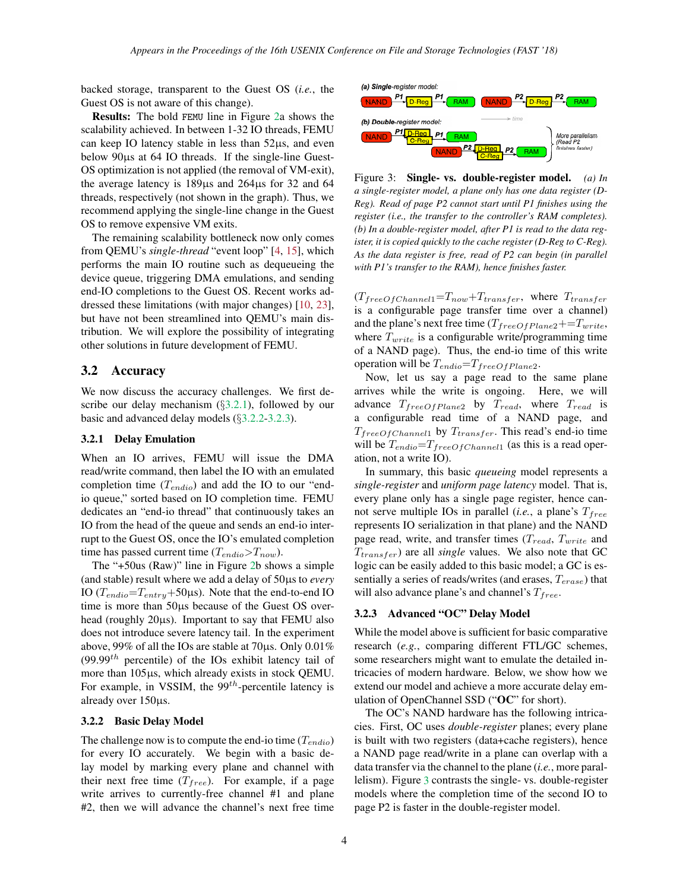backed storage, transparent to the Guest OS (*i.e.*, the Guest OS is not aware of this change).

Results: The bold FEMU line in Figure [2a](#page-2-0) shows the scalability achieved. In between 1-32 IO threads, FEMU can keep IO latency stable in less than 52µs, and even below 90µs at 64 IO threads. If the single-line Guest-OS optimization is not applied (the removal of VM-exit), the average latency is 189µs and 264µs for 32 and 64 threads, respectively (not shown in the graph). Thus, we recommend applying the single-line change in the Guest OS to remove expensive VM exits.

The remaining scalability bottleneck now only comes from QEMU's *single-thread* "event loop" [\[4,](#page-6-16) [15\]](#page-6-17), which performs the main IO routine such as dequeueing the device queue, triggering DMA emulations, and sending end-IO completions to the Guest OS. Recent works addressed these limitations (with major changes) [\[10,](#page-6-18) [23\]](#page-6-19), but have not been streamlined into QEMU's main distribution. We will explore the possibility of integrating other solutions in future development of FEMU.

#### <span id="page-3-0"></span>3.2 Accuracy

We now discuss the accuracy challenges. We first describe our delay mechanism (§[3.2.1\)](#page-3-1), followed by our basic and advanced delay models (§[3.2.2-](#page-3-3)[3.2.3\)](#page-3-2).

#### <span id="page-3-1"></span>3.2.1 Delay Emulation

When an IO arrives, FEMU will issue the DMA read/write command, then label the IO with an emulated completion time  $(T_{endio})$  and add the IO to our "endio queue," sorted based on IO completion time. FEMU dedicates an "end-io thread" that continuously takes an IO from the head of the queue and sends an end-io interrupt to the Guest OS, once the IO's emulated completion time has passed current time  $(T_{endio} > T_{now})$ .

The "+50us (Raw)" line in Figure [2b](#page-2-0) shows a simple (and stable) result where we add a delay of 50µs to *every* IO  $(T_{endio} = T_{entry} + 50 \mu s)$ . Note that the end-to-end IO time is more than 50µs because of the Guest OS overhead (roughly 20µs). Important to say that FEMU also does not introduce severe latency tail. In the experiment above, 99% of all the IOs are stable at 70µs. Only 0.01%  $(99.99<sup>th</sup>$  percentile) of the IOs exhibit latency tail of more than 105µs, which already exists in stock QEMU. For example, in VSSIM, the  $99<sup>th</sup>$ -percentile latency is already over 150µs.

#### <span id="page-3-3"></span>3.2.2 Basic Delay Model

The challenge now is to compute the end-io time  $(T_{endio})$ for every IO accurately. We begin with a basic delay model by marking every plane and channel with their next free time  $(T_{free})$ . For example, if a page write arrives to currently-free channel #1 and plane #2, then we will advance the channel's next free time



<span id="page-3-4"></span>Figure 3: Single- vs. double-register model. *(a) In a single-register model, a plane only has one data register (D-Reg). Read of page P2 cannot start until P1 finishes using the register (i.e., the transfer to the controller's RAM completes). (b) In a double-register model, after P1 is read to the data register, it is copied quickly to the cache register (D-Reg to C-Reg). As the data register is free, read of P2 can begin (in parallel with P1's transfer to the RAM), hence finishes faster.*

 $(T_{freeOfChannel1}=T_{now}+T_{transfer}$ , where  $T_{transfer}$ is a configurable page transfer time over a channel) and the plane's next free time ( $T_{freeOfPlane2}$ +=T<sub>write</sub>, where  $T_{write}$  is a configurable write/programming time of a NAND page). Thus, the end-io time of this write operation will be  $T_{endio} = T_{freeOfPlane2}$ .

Now, let us say a page read to the same plane arrives while the write is ongoing. Here, we will advance  $T_{freeOfPlane2}$  by  $T_{read}$ , where  $T_{read}$  is a configurable read time of a NAND page, and  $T_{freeOfChannel1}$  by  $T_{transfer}$ . This read's end-io time will be  $T_{endio} = T_{freeOfChannel1}$  (as this is a read operation, not a write IO).

In summary, this basic *queueing* model represents a *single-register* and *uniform page latency* model. That is, every plane only has a single page register, hence cannot serve multiple IOs in parallel (*i.e.*, a plane's  $T_{free}$ represents IO serialization in that plane) and the NAND page read, write, and transfer times  $(T_{read}, T_{write}$  and  $T_{transfer}$ ) are all *single* values. We also note that GC logic can be easily added to this basic model; a GC is essentially a series of reads/writes (and erases,  $T_{erase}$ ) that will also advance plane's and channel's  $T_{free}$ .

#### <span id="page-3-2"></span>3.2.3 Advanced "OC" Delay Model

While the model above is sufficient for basic comparative research (*e.g.*, comparing different FTL/GC schemes, some researchers might want to emulate the detailed intricacies of modern hardware. Below, we show how we extend our model and achieve a more accurate delay emulation of OpenChannel SSD ("OC" for short).

The OC's NAND hardware has the following intricacies. First, OC uses *double-register* planes; every plane is built with two registers (data+cache registers), hence a NAND page read/write in a plane can overlap with a data transfer via the channel to the plane (*i.e.*, more parallelism). Figure [3](#page-3-4) contrasts the single- vs. double-register models where the completion time of the second IO to page P2 is faster in the double-register model.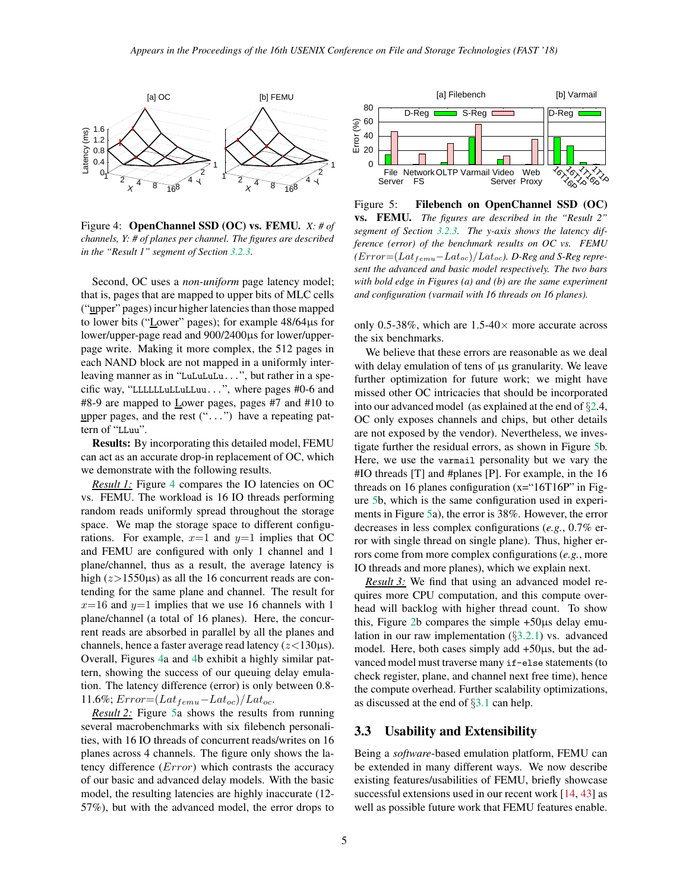

<span id="page-4-1"></span>Figure 4: OpenChannel SSD (OC) vs. FEMU. *X: # of channels, Y: # of planes per channel. The figures are described in the "Result 1" segment of Section [3.2.3.](#page-3-2)*

Second, OC uses a *non-uniform* page latency model; that is, pages that are mapped to upper bits of MLC cells ("upper" pages) incur higher latencies than those mapped to lower bits ("Lower" pages); for example 48/64µs for lower/upper-page read and 900/2400µs for lower/upperpage write. Making it more complex, the 512 pages in each NAND block are not mapped in a uniformly interleaving manner as in "LuLuLuLu...", but rather in a specific way, "LLLLLLuLLuLLuu...", where pages #0-6 and #8-9 are mapped to Lower pages, pages #7 and #10 to upper pages, and the rest ("...") have a repeating pattern of "LLuu".

Results: By incorporating this detailed model, FEMU can act as an accurate drop-in replacement of OC, which we demonstrate with the following results.

*Result 1:* Figure [4](#page-4-1) compares the IO latencies on OC vs. FEMU. The workload is 16 IO threads performing random reads uniformly spread throughout the storage space. We map the storage space to different configurations. For example,  $x=1$  and  $y=1$  implies that OC and FEMU are configured with only 1 channel and 1 plane/channel, thus as a result, the average latency is high  $(z>1550\mu s)$  as all the 16 concurrent reads are contending for the same plane and channel. The result for  $x=16$  and  $y=1$  implies that we use 16 channels with 1 plane/channel (a total of 16 planes). Here, the concurrent reads are absorbed in parallel by all the planes and channels, hence a faster average read latency  $(z<130\mu s)$ . Overall, Figures [4a](#page-4-1) and [4b](#page-4-1) exhibit a highly similar pattern, showing the success of our queuing delay emulation. The latency difference (error) is only between 0.8- 11.6%;  $Error=(Lat_{femu}-Lat_{oc})/Lat_{oc}.$ 

*Result 2:* Figure [5a](#page-4-2) shows the results from running several macrobenchmarks with six filebench personalities, with 16 IO threads of concurrent reads/writes on 16 planes across 4 channels. The figure only shows the latency difference (Error) which contrasts the accuracy of our basic and advanced delay models. With the basic model, the resulting latencies are highly inaccurate (12- 57%), but with the advanced model, the error drops to



<span id="page-4-2"></span>Figure 5: Filebench on OpenChannel SSD (OC) vs. FEMU. *The figures are described in the "Result 2" segment of Section [3.2.3.](#page-3-2) The y-axis shows the latency difference (error) of the benchmark results on OC vs. FEMU*  $(Error=(Lat_{femu}-Lat_{oc})/Lat_{oc})$ . *D-Reg and S-Reg represent the advanced and basic model respectively. The two bars with bold edge in Figures (a) and (b) are the same experiment and configuration (varmail with 16 threads on 16 planes).*

only 0.5-38%, which are  $1.5\n-40\times$  more accurate across the six benchmarks.

We believe that these errors are reasonable as we deal with delay emulation of tens of  $\mu$ s granularity. We leave further optimization for future work; we might have missed other OC intricacies that should be incorporated into our advanced model (as explained at the end of §[2.](#page-0-0)4, OC only exposes channels and chips, but other details are not exposed by the vendor). Nevertheless, we investigate further the residual errors, as shown in Figure [5b](#page-4-2). Here, we use the varmail personality but we vary the #IO threads [T] and #planes [P]. For example, in the 16 threads on 16 planes configuration  $(x=$ "16T16P" in Figure [5b](#page-4-2), which is the same configuration used in experiments in Figure [5a](#page-4-2)), the error is 38%. However, the error decreases in less complex configurations (*e.g.*, 0.7% error with single thread on single plane). Thus, higher errors come from more complex configurations (*e.g.*, more IO threads and more planes), which we explain next.

*Result 3:* We find that using an advanced model requires more CPU computation, and this compute overhead will backlog with higher thread count. To show this, Figure [2b](#page-2-0) compares the simple +50µs delay emulation in our raw implementation  $(\S3.2.1)$  $(\S3.2.1)$  vs. advanced model. Here, both cases simply add  $+50\mu s$ , but the advanced model must traverse many if-else statements (to check register, plane, and channel next free time), hence the compute overhead. Further scalability optimizations, as discussed at the end of §[3.1](#page-2-1) can help.

### <span id="page-4-0"></span>3.3 Usability and Extensibility

Being a *software*-based emulation platform, FEMU can be extended in many different ways. We now describe existing features/usabilities of FEMU, briefly showcase successful extensions used in our recent work [\[14,](#page-6-6) [43\]](#page-7-5) as well as possible future work that FEMU features enable.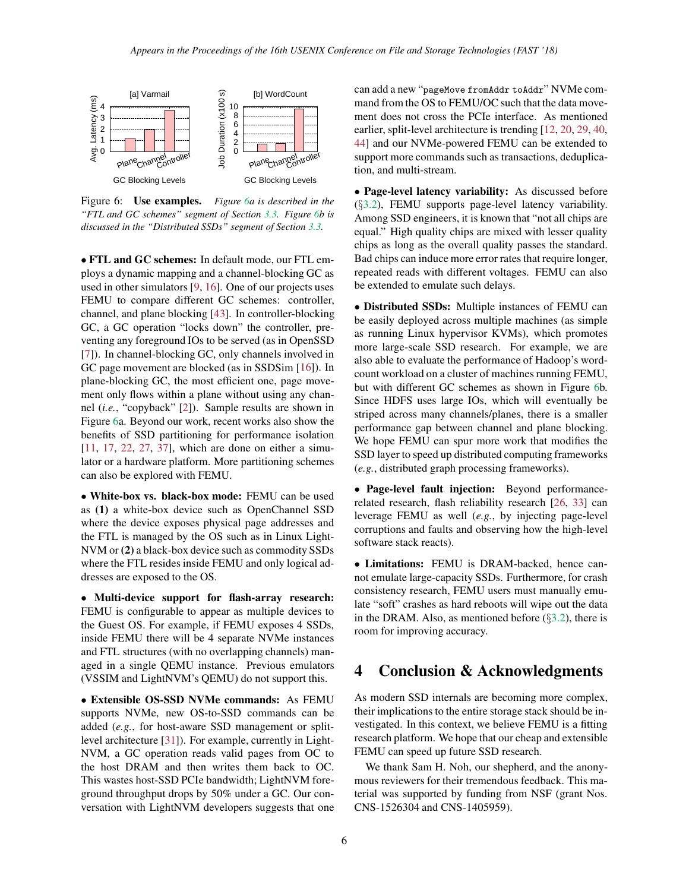

<span id="page-5-0"></span>Figure 6: Use examples. *Figure [6a](#page-5-0) is described in the "FTL and GC schemes" segment of Section [3.3.](#page-4-0) Figure [6b](#page-5-0) is discussed in the "Distributed SSDs" segment of Section [3.3.](#page-4-0)*

• FTL and GC schemes: In default mode, our FTL employs a dynamic mapping and a channel-blocking GC as used in other simulators [\[9,](#page-6-0) [16\]](#page-6-2). One of our projects uses FEMU to compare different GC schemes: controller, channel, and plane blocking [\[43\]](#page-7-5). In controller-blocking GC, a GC operation "locks down" the controller, preventing any foreground IOs to be served (as in OpenSSD [\[7\]](#page-6-3)). In channel-blocking GC, only channels involved in GC page movement are blocked (as in SSDSim [\[16\]](#page-6-2)). In plane-blocking GC, the most efficient one, page movement only flows within a plane without using any channel (*i.e.*, "copyback" [\[2\]](#page-6-20)). Sample results are shown in Figure [6a](#page-5-0). Beyond our work, recent works also show the benefits of SSD partitioning for performance isolation [\[11,](#page-6-4) [17,](#page-6-21) [22,](#page-6-22) [27,](#page-7-16) [37\]](#page-7-17), which are done on either a simulator or a hardware platform. More partitioning schemes can also be explored with FEMU.

• White-box vs. black-box mode: FEMU can be used as (1) a white-box device such as OpenChannel SSD where the device exposes physical page addresses and the FTL is managed by the OS such as in Linux Light-NVM or (2) a black-box device such as commodity SSDs where the FTL resides inside FEMU and only logical addresses are exposed to the OS.

• Multi-device support for flash-array research: FEMU is configurable to appear as multiple devices to the Guest OS. For example, if FEMU exposes 4 SSDs, inside FEMU there will be 4 separate NVMe instances and FTL structures (with no overlapping channels) managed in a single QEMU instance. Previous emulators (VSSIM and LightNVM's QEMU) do not support this.

• Extensible OS-SSD NVMe commands: As FEMU supports NVMe, new OS-to-SSD commands can be added (*e.g.*, for host-aware SSD management or splitlevel architecture [\[31\]](#page-7-10)). For example, currently in Light-NVM, a GC operation reads valid pages from OC to the host DRAM and then writes them back to OC. This wastes host-SSD PCIe bandwidth; LightNVM foreground throughput drops by 50% under a GC. Our conversation with LightNVM developers suggests that one can add a new "pageMove fromAddr toAddr" NVMe command from the OS to FEMU/OC such that the data movement does not cross the PCIe interface. As mentioned earlier, split-level architecture is trending [\[12,](#page-6-23) [20,](#page-6-24) [29,](#page-7-13) [40,](#page-7-18) [44\]](#page-7-19) and our NVMe-powered FEMU can be extended to support more commands such as transactions, deduplication, and multi-stream.

• Page-level latency variability: As discussed before (§[3.2\)](#page-3-0), FEMU supports page-level latency variability. Among SSD engineers, it is known that "not all chips are equal." High quality chips are mixed with lesser quality chips as long as the overall quality passes the standard. Bad chips can induce more error rates that require longer, repeated reads with different voltages. FEMU can also be extended to emulate such delays.

• Distributed SSDs: Multiple instances of FEMU can be easily deployed across multiple machines (as simple as running Linux hypervisor KVMs), which promotes more large-scale SSD research. For example, we are also able to evaluate the performance of Hadoop's wordcount workload on a cluster of machines running FEMU, but with different GC schemes as shown in Figure [6b](#page-5-0). Since HDFS uses large IOs, which will eventually be striped across many channels/planes, there is a smaller performance gap between channel and plane blocking. We hope FEMU can spur more work that modifies the SSD layer to speed up distributed computing frameworks (*e.g.*, distributed graph processing frameworks).

• Page-level fault injection: Beyond performancerelated research, flash reliability research [\[26,](#page-6-25) [33\]](#page-7-20) can leverage FEMU as well (*e.g.*, by injecting page-level corruptions and faults and observing how the high-level software stack reacts).

• Limitations: FEMU is DRAM-backed, hence cannot emulate large-capacity SSDs. Furthermore, for crash consistency research, FEMU users must manually emulate "soft" crashes as hard reboots will wipe out the data in the DRAM. Also, as mentioned before  $(\S3.2)$  $(\S3.2)$ , there is room for improving accuracy.

### 4 Conclusion & Acknowledgments

As modern SSD internals are becoming more complex, their implications to the entire storage stack should be investigated. In this context, we believe FEMU is a fitting research platform. We hope that our cheap and extensible FEMU can speed up future SSD research.

We thank Sam H. Noh, our shepherd, and the anonymous reviewers for their tremendous feedback. This material was supported by funding from NSF (grant Nos. CNS-1526304 and CNS-1405959).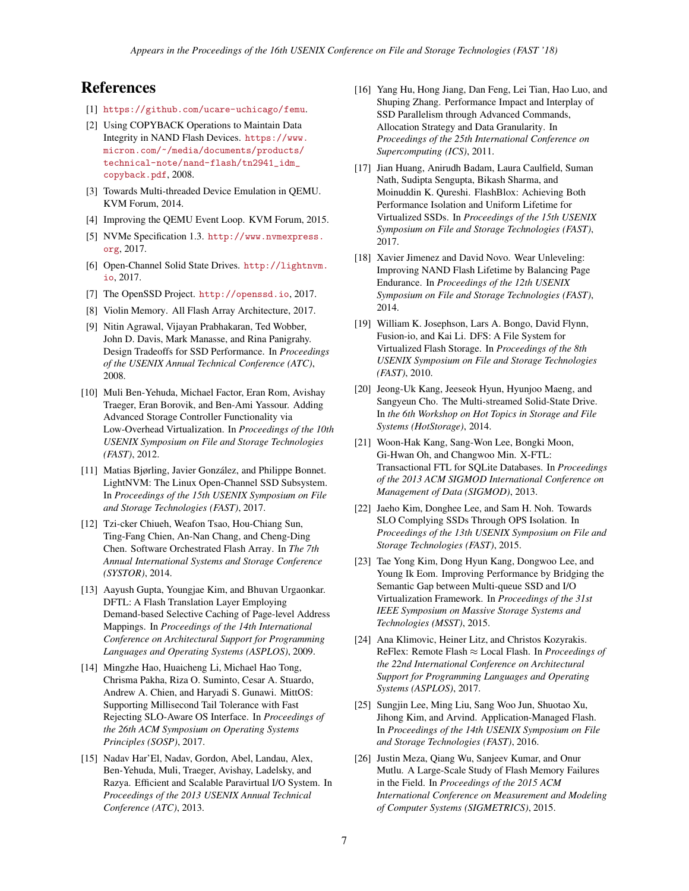## <span id="page-6-13"></span>References

- <span id="page-6-20"></span>[1] <https://github.com/ucare-uchicago/femu>.
- [2] Using COPYBACK Operations to Maintain Data Integrity in NAND Flash Devices. [https://www.](https://www.micron.com/~/media/documents/products/technical-note/nand-flash/tn2941_idm_copyback.pdf) [micron.com/~/media/documents/products/](https://www.micron.com/~/media/documents/products/technical-note/nand-flash/tn2941_idm_copyback.pdf) [technical-note/nand-flash/tn2941\\_idm\\_](https://www.micron.com/~/media/documents/products/technical-note/nand-flash/tn2941_idm_copyback.pdf) [copyback.pdf](https://www.micron.com/~/media/documents/products/technical-note/nand-flash/tn2941_idm_copyback.pdf), 2008.
- <span id="page-6-16"></span><span id="page-6-14"></span>[3] Towards Multi-threaded Device Emulation in QEMU. KVM Forum, 2014.
- <span id="page-6-15"></span>[4] Improving the QEMU Event Loop. KVM Forum, 2015.
- [5] NVMe Specification 1.3. [http://www.nvmexpress.](http://www.nvmexpress.org) [org](http://www.nvmexpress.org), 2017.
- <span id="page-6-5"></span><span id="page-6-3"></span>[6] Open-Channel Solid State Drives. [http://lightnvm.](http://lightnvm.io) [io](http://lightnvm.io), 2017.
- <span id="page-6-8"></span>[7] The OpenSSD Project. <http://openssd.io>, 2017.
- <span id="page-6-0"></span>[8] Violin Memory. All Flash Array Architecture, 2017.
- [9] Nitin Agrawal, Vijayan Prabhakaran, Ted Wobber, John D. Davis, Mark Manasse, and Rina Panigrahy. Design Tradeoffs for SSD Performance. In *Proceedings of the USENIX Annual Technical Conference (ATC)*, 2008.
- <span id="page-6-18"></span>[10] Muli Ben-Yehuda, Michael Factor, Eran Rom, Avishay Traeger, Eran Borovik, and Ben-Ami Yassour. Adding Advanced Storage Controller Functionality via Low-Overhead Virtualization. In *Proceedings of the 10th USENIX Symposium on File and Storage Technologies (FAST)*, 2012.
- <span id="page-6-4"></span>[11] Matias Bjørling, Javier González, and Philippe Bonnet. LightNVM: The Linux Open-Channel SSD Subsystem. In *Proceedings of the 15th USENIX Symposium on File and Storage Technologies (FAST)*, 2017.
- <span id="page-6-23"></span>[12] Tzi-cker Chiueh, Weafon Tsao, Hou-Chiang Sun, Ting-Fang Chien, An-Nan Chang, and Cheng-Ding Chen. Software Orchestrated Flash Array. In *The 7th Annual International Systems and Storage Conference (SYSTOR)*, 2014.
- <span id="page-6-1"></span>[13] Aayush Gupta, Youngjae Kim, and Bhuvan Urgaonkar. DFTL: A Flash Translation Layer Employing Demand-based Selective Caching of Page-level Address Mappings. In *Proceedings of the 14th International Conference on Architectural Support for Programming Languages and Operating Systems (ASPLOS)*, 2009.
- <span id="page-6-6"></span>[14] Mingzhe Hao, Huaicheng Li, Michael Hao Tong, Chrisma Pakha, Riza O. Suminto, Cesar A. Stuardo, Andrew A. Chien, and Haryadi S. Gunawi. MittOS: Supporting Millisecond Tail Tolerance with Fast Rejecting SLO-Aware OS Interface. In *Proceedings of the 26th ACM Symposium on Operating Systems Principles (SOSP)*, 2017.
- <span id="page-6-17"></span>[15] Nadav Har'El, Nadav, Gordon, Abel, Landau, Alex, Ben-Yehuda, Muli, Traeger, Avishay, Ladelsky, and Razya. Efficient and Scalable Paravirtual I/O System. In *Proceedings of the 2013 USENIX Annual Technical Conference (ATC)*, 2013.
- <span id="page-6-2"></span>[16] Yang Hu, Hong Jiang, Dan Feng, Lei Tian, Hao Luo, and Shuping Zhang. Performance Impact and Interplay of SSD Parallelism through Advanced Commands, Allocation Strategy and Data Granularity. In *Proceedings of the 25th International Conference on Supercomputing (ICS)*, 2011.
- <span id="page-6-21"></span>[17] Jian Huang, Anirudh Badam, Laura Caulfield, Suman Nath, Sudipta Sengupta, Bikash Sharma, and Moinuddin K. Qureshi. FlashBlox: Achieving Both Performance Isolation and Uniform Lifetime for Virtualized SSDs. In *Proceedings of the 15th USENIX Symposium on File and Storage Technologies (FAST)*, 2017.
- <span id="page-6-11"></span>[18] Xavier Jimenez and David Novo. Wear Unleveling: Improving NAND Flash Lifetime by Balancing Page Endurance. In *Proceedings of the 12th USENIX Symposium on File and Storage Technologies (FAST)*, 2014.
- <span id="page-6-9"></span>[19] William K. Josephson, Lars A. Bongo, David Flynn, Fusion-io, and Kai Li. DFS: A File System for Virtualized Flash Storage. In *Proceedings of the 8th USENIX Symposium on File and Storage Technologies (FAST)*, 2010.
- <span id="page-6-24"></span>[20] Jeong-Uk Kang, Jeeseok Hyun, Hyunjoo Maeng, and Sangyeun Cho. The Multi-streamed Solid-State Drive. In *the 6th Workshop on Hot Topics in Storage and File Systems (HotStorage)*, 2014.
- <span id="page-6-12"></span>[21] Woon-Hak Kang, Sang-Won Lee, Bongki Moon, Gi-Hwan Oh, and Changwoo Min. X-FTL: Transactional FTL for SQLite Databases. In *Proceedings of the 2013 ACM SIGMOD International Conference on Management of Data (SIGMOD)*, 2013.
- <span id="page-6-22"></span>[22] Jaeho Kim, Donghee Lee, and Sam H. Noh. Towards SLO Complying SSDs Through OPS Isolation. In *Proceedings of the 13th USENIX Symposium on File and Storage Technologies (FAST)*, 2015.
- <span id="page-6-19"></span>[23] Tae Yong Kim, Dong Hyun Kang, Dongwoo Lee, and Young Ik Eom. Improving Performance by Bridging the Semantic Gap between Multi-queue SSD and I/O Virtualization Framework. In *Proceedings of the 31st IEEE Symposium on Massive Storage Systems and Technologies (MSST)*, 2015.
- <span id="page-6-10"></span>[24] Ana Klimovic, Heiner Litz, and Christos Kozyrakis. ReFlex: Remote Flash ≈ Local Flash. In *Proceedings of the 22nd International Conference on Architectural Support for Programming Languages and Operating Systems (ASPLOS)*, 2017.
- <span id="page-6-7"></span>[25] Sungjin Lee, Ming Liu, Sang Woo Jun, Shuotao Xu, Jihong Kim, and Arvind. Application-Managed Flash. In *Proceedings of the 14th USENIX Symposium on File and Storage Technologies (FAST)*, 2016.
- <span id="page-6-25"></span>[26] Justin Meza, Qiang Wu, Sanjeev Kumar, and Onur Mutlu. A Large-Scale Study of Flash Memory Failures in the Field. In *Proceedings of the 2015 ACM International Conference on Measurement and Modeling of Computer Systems (SIGMETRICS)*, 2015.